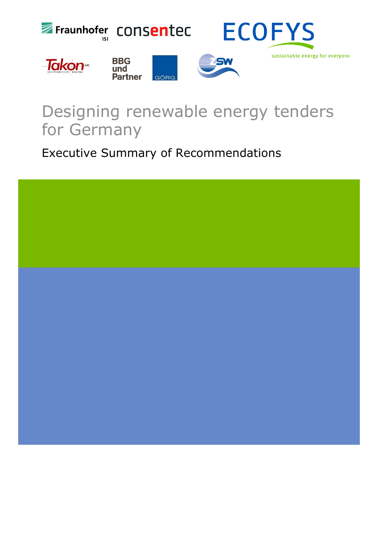

# Designing renewable energy tenders for Germany

Executive Summary of Recommendations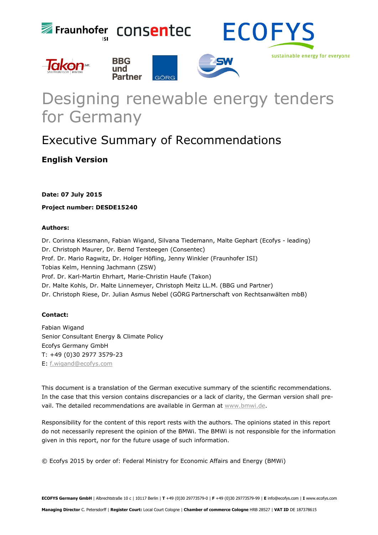







sustainable energy for everyone

# Designing renewable energy tenders for Germany

# Executive Summary of Recommendations

# **English Version**

**Date: 07 July 2015** 

**Project number: DESDE15240** 

# **Authors:**

Dr. Corinna Klessmann, Fabian Wigand, Silvana Tiedemann, Malte Gephart (Ecofys - leading) Dr. Christoph Maurer, Dr. Bernd Tersteegen (Consentec) Prof. Dr. Mario Ragwitz, Dr. Holger Höfling, Jenny Winkler (Fraunhofer ISI) Tobias Kelm, Henning Jachmann (ZSW) Prof. Dr. Karl-Martin Ehrhart, Marie-Christin Haufe (Takon) Dr. Malte Kohls, Dr. Malte Linnemeyer, Christoph Meitz LL.M. (BBG und Partner) Dr. Christoph Riese, Dr. Julian Asmus Nebel (GÖRG Partnerschaft von Rechtsanwälten mbB)

# **Contact:**

Fabian Wigand Senior Consultant Energy & Climate Policy Ecofys Germany GmbH T: +49 (0)30 2977 3579-23 E: [f.wigand@ecofys.com](mailto:f.wigand@ecofys.com) 

This document is a translation of the German executive summary of the scientific recommendations. In the case that this version contains discrepancies or a lack of clarity, the German version shall prevail. The detailed recommendations are available in German at [www.bmwi.de.](http://www.bmwi.de/)

Responsibility for the content of this report rests with the authors. The opinions stated in this report do not necessarily represent the opinion of the BMWi. The BMWi is not responsible for the information given in this report, nor for the future usage of such information.

© Ecofys 2015 by order of: Federal Ministry for Economic Affairs and Energy (BMWi)

**ECOFYS Germany GmbH** | Albrechtstraße 10 c | 10117 Berlin | **T** +49 (0)30 29773579-0 | **F** +49 (0)30 29773579-99 | **E** info@ecofys.com | **I** www.ecofys.com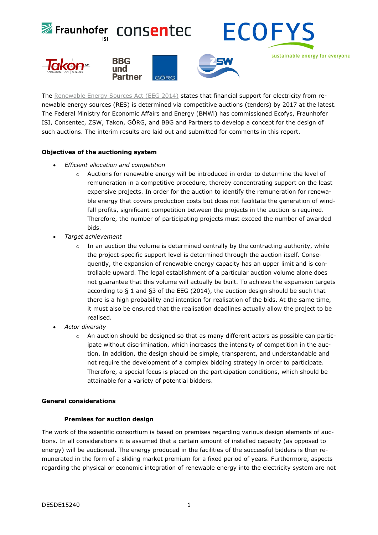

The [Renewable Energy Sources Act \(EEG 2014\)](http://www.bmwi.de/DE/Themen/Energie/Erneuerbare-Energien/eeg-2014.html) states that financial support for electricity from renewable energy sources (RES) is determined via competitive auctions (tenders) by 2017 at the latest. The Federal Ministry for Economic Affairs and Energy (BMWi) has commissioned Ecofys, Fraunhofer ISI, Consentec, ZSW, Takon, GÖRG, and BBG and Partners to develop a concept for the design of such auctions. The interim results are laid out and submitted for comments in this report.

# **Objectives of the auctioning system**

- *Efficient allocation and competition* 
	- $\circ$  Auctions for renewable energy will be introduced in order to determine the level of remuneration in a competitive procedure, thereby concentrating support on the least expensive projects. In order for the auction to identify the remuneration for renewable energy that covers production costs but does not facilitate the generation of windfall profits, significant competition between the projects in the auction is required. Therefore, the number of participating projects must exceed the number of awarded bids.
- *Target achievement*
	- In an auction the volume is determined centrally by the contracting authority, while the project-specific support level is determined through the auction itself. Consequently, the expansion of renewable energy capacity has an upper limit and is controllable upward. The legal establishment of a particular auction volume alone does not guarantee that this volume will actually be built. To achieve the expansion targets according to § 1 and §3 of the EEG (2014), the auction design should be such that there is a high probability and intention for realisation of the bids. At the same time, it must also be ensured that the realisation deadlines actually allow the project to be realised.
- *Actor diversity* 
	- $\circ$  An auction should be designed so that as many different actors as possible can participate without discrimination, which increases the intensity of competition in the auction. In addition, the design should be simple, transparent, and understandable and not require the development of a complex bidding strategy in order to participate. Therefore, a special focus is placed on the participation conditions, which should be attainable for a variety of potential bidders.

# **General considerations**

# **Premises for auction design**

The work of the scientific consortium is based on premises regarding various design elements of auctions. In all considerations it is assumed that a certain amount of installed capacity (as opposed to energy) will be auctioned. The energy produced in the facilities of the successful bidders is then remunerated in the form of a sliding market premium for a fixed period of years. Furthermore, aspects regarding the physical or economic integration of renewable energy into the electricity system are not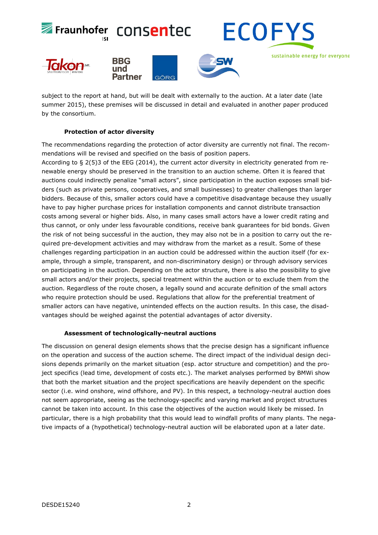

subject to the report at hand, but will be dealt with externally to the auction. At a later date (late summer 2015), these premises will be discussed in detail and evaluated in another paper produced by the consortium.

# **Protection of actor diversity**

The recommendations regarding the protection of actor diversity are currently not final. The recommendations will be revised and specified on the basis of position papers.

According to § 2(5)3 of the EEG (2014), the current actor diversity in electricity generated from renewable energy should be preserved in the transition to an auction scheme. Often it is feared that auctions could indirectly penalize "small actors", since participation in the auction exposes small bidders (such as private persons, cooperatives, and small businesses) to greater challenges than larger bidders. Because of this, smaller actors could have a competitive disadvantage because they usually have to pay higher purchase prices for installation components and cannot distribute transaction costs among several or higher bids. Also, in many cases small actors have a lower credit rating and thus cannot, or only under less favourable conditions, receive bank guarantees for bid bonds. Given the risk of not being successful in the auction, they may also not be in a position to carry out the required pre-development activities and may withdraw from the market as a result. Some of these challenges regarding participation in an auction could be addressed within the auction itself (for example, through a simple, transparent, and non-discriminatory design) or through advisory services on participating in the auction. Depending on the actor structure, there is also the possibility to give small actors and/or their projects, special treatment within the auction or to exclude them from the auction. Regardless of the route chosen, a legally sound and accurate definition of the small actors who require protection should be used. Regulations that allow for the preferential treatment of smaller actors can have negative, unintended effects on the auction results. In this case, the disadvantages should be weighed against the potential advantages of actor diversity.

# **Assessment of technologically-neutral auctions**

The discussion on general design elements shows that the precise design has a significant influence on the operation and success of the auction scheme. The direct impact of the individual design decisions depends primarily on the market situation (esp. actor structure and competition) and the project specifics (lead time, development of costs etc.). The market analyses performed by BMWi show that both the market situation and the project specifications are heavily dependent on the specific sector (i.e. wind onshore, wind offshore, and PV). In this respect, a technology-neutral auction does not seem appropriate, seeing as the technology-specific and varying market and project structures cannot be taken into account. In this case the objectives of the auction would likely be missed. In particular, there is a high probability that this would lead to windfall profits of many plants. The negative impacts of a (hypothetical) technology-neutral auction will be elaborated upon at a later date.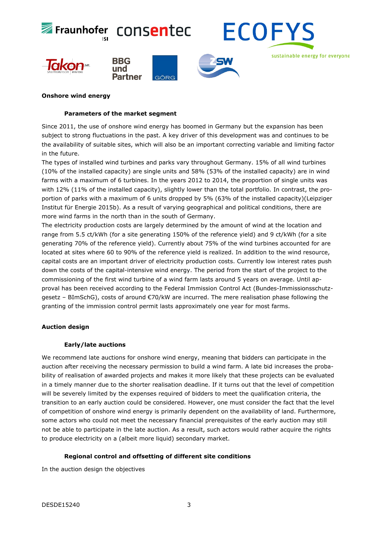

# **Onshore wind energy**

#### **Parameters of the market segment**

Since 2011, the use of onshore wind energy has boomed in Germany but the expansion has been subject to strong fluctuations in the past. A key driver of this development was and continues to be the availability of suitable sites, which will also be an important correcting variable and limiting factor in the future.

The types of installed wind turbines and parks vary throughout Germany. 15% of all wind turbines (10% of the installed capacity) are single units and 58% (53% of the installed capacity) are in wind farms with a maximum of 6 turbines. In the years 2012 to 2014, the proportion of single units was with 12% (11% of the installed capacity), slightly lower than the total portfolio. In contrast, the proportion of parks with a maximum of 6 units dropped by 5% (63% of the installed capacity)(Leipziger Institut für Energie 2015b). As a result of varying geographical and political conditions, there are more wind farms in the north than in the south of Germany.

The electricity production costs are largely determined by the amount of wind at the location and range from 5.5 ct/kWh (for a site generating 150% of the reference yield) and 9 ct/kWh (for a site generating 70% of the reference yield). Currently about 75% of the wind turbines accounted for are located at sites where 60 to 90% of the reference yield is realized. In addition to the wind resource, capital costs are an important driver of electricity production costs. Currently low interest rates push down the costs of the capital-intensive wind energy. The period from the start of the project to the commissioning of the first wind turbine of a wind farm lasts around 5 years on average. Until approval has been received according to the Federal Immission Control Act (Bundes-Immissionsschutzgesetz – BImSchG), costs of around €70/kW are incurred. The mere realisation phase following the granting of the immission control permit lasts approximately one year for most farms.

# **Auction design**

#### **Early/late auctions**

We recommend late auctions for onshore wind energy, meaning that bidders can participate in the auction after receiving the necessary permission to build a wind farm. A late bid increases the probability of realisation of awarded projects and makes it more likely that these projects can be evaluated in a timely manner due to the shorter realisation deadline. If it turns out that the level of competition will be severely limited by the expenses required of bidders to meet the qualification criteria, the transition to an early auction could be considered. However, one must consider the fact that the level of competition of onshore wind energy is primarily dependent on the availability of land. Furthermore, some actors who could not meet the necessary financial prerequisites of the early auction may still not be able to participate in the late auction. As a result, such actors would rather acquire the rights to produce electricity on a (albeit more liquid) secondary market.

# **Regional control and offsetting of different site conditions**

In the auction design the objectives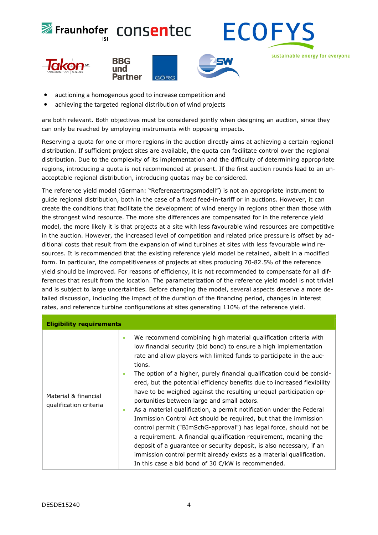

- auctioning a homogenous good to increase competition and
- achieving the targeted regional distribution of wind projects

are both relevant. Both objectives must be considered jointly when designing an auction, since they can only be reached by employing instruments with opposing impacts.

Reserving a quota for one or more regions in the auction directly aims at achieving a certain regional distribution. If sufficient project sites are available, the quota can facilitate control over the regional distribution. Due to the complexity of its implementation and the difficulty of determining appropriate regions, introducing a quota is not recommended at present. If the first auction rounds lead to an unacceptable regional distribution, introducing quotas may be considered.

The reference yield model (German: "Referenzertragsmodell") is not an appropriate instrument to guide regional distribution, both in the case of a fixed feed-in-tariff or in auctions. However, it can create the conditions that facilitate the development of wind energy in regions other than those with the strongest wind resource. The more site differences are compensated for in the reference yield model, the more likely it is that projects at a site with less favourable wind resources are competitive in the auction. However, the increased level of competition and related price pressure is offset by additional costs that result from the expansion of wind turbines at sites with less favourable wind resources. It is recommended that the existing reference yield model be retained, albeit in a modified form. In particular, the competitiveness of projects at sites producing 70-82.5% of the reference yield should be improved. For reasons of efficiency, it is not recommended to compensate for all differences that result from the location. The parameterization of the reference yield model is not trivial and is subject to large uncertainties. Before changing the model, several aspects deserve a more detailed discussion, including the impact of the duration of the financing period, changes in interest rates, and reference turbine configurations at sites generating 110% of the reference yield.

| <b>Eligibility requirements</b>                |                                                                                                                                                                                                                                                                                                                                                                                                                                                                                                                                                                                                                                                                                                                                                                                                                                                                                                                                                                                                                                      |  |
|------------------------------------------------|--------------------------------------------------------------------------------------------------------------------------------------------------------------------------------------------------------------------------------------------------------------------------------------------------------------------------------------------------------------------------------------------------------------------------------------------------------------------------------------------------------------------------------------------------------------------------------------------------------------------------------------------------------------------------------------------------------------------------------------------------------------------------------------------------------------------------------------------------------------------------------------------------------------------------------------------------------------------------------------------------------------------------------------|--|
| Material & financial<br>qualification criteria | We recommend combining high material qualification criteria with<br>$\bullet$<br>low financial security (bid bond) to ensure a high implementation<br>rate and allow players with limited funds to participate in the auc-<br>tions.<br>The option of a higher, purely financial qualification could be consid-<br>ered, but the potential efficiency benefits due to increased flexibility<br>have to be weighed against the resulting unequal participation op-<br>portunities between large and small actors.<br>As a material qualification, a permit notification under the Federal<br>$\bullet$<br>Immission Control Act should be required, but that the immission<br>control permit ("BImSchG-approval") has legal force, should not be<br>a requirement. A financial qualification requirement, meaning the<br>deposit of a guarantee or security deposit, is also necessary, if an<br>immission control permit already exists as a material qualification.<br>In this case a bid bond of 30 $\epsilon$ /kW is recommended. |  |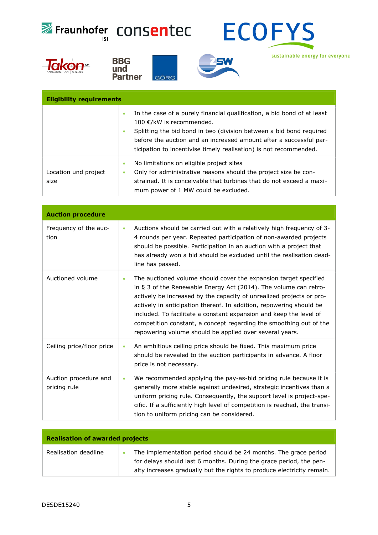







sustainable energy for everyone

| <b>Eligibility requirements</b> |                                                                                                                                                                                                                                                                                                                                 |  |
|---------------------------------|---------------------------------------------------------------------------------------------------------------------------------------------------------------------------------------------------------------------------------------------------------------------------------------------------------------------------------|--|
|                                 | In the case of a purely financial qualification, a bid bond of at least<br>۰<br>100 €/kW is recommended.<br>Splitting the bid bond in two (division between a bid bond required<br>٠<br>before the auction and an increased amount after a successful par-<br>ticipation to incentivise timely realisation) is not recommended. |  |
| Location und project<br>size    | No limitations on eligible project sites<br>۰<br>Only for administrative reasons should the project size be con-<br>۰<br>strained. It is conceivable that turbines that do not exceed a maxi-<br>mum power of 1 MW could be excluded.                                                                                           |  |

| <b>Auction procedure</b>              |           |                                                                                                                                                                                                                                                                                                                                                                                                                                                                                            |
|---------------------------------------|-----------|--------------------------------------------------------------------------------------------------------------------------------------------------------------------------------------------------------------------------------------------------------------------------------------------------------------------------------------------------------------------------------------------------------------------------------------------------------------------------------------------|
| Frequency of the auc-<br>tion         | $\bullet$ | Auctions should be carried out with a relatively high frequency of 3-<br>4 rounds per year. Repeated participation of non-awarded projects<br>should be possible. Participation in an auction with a project that<br>has already won a bid should be excluded until the realisation dead-<br>line has passed.                                                                                                                                                                              |
| Auctioned volume                      | ۰         | The auctioned volume should cover the expansion target specified<br>in § 3 of the Renewable Energy Act (2014). The volume can retro-<br>actively be increased by the capacity of unrealized projects or pro-<br>actively in anticipation thereof. In addition, repowering should be<br>included. To facilitate a constant expansion and keep the level of<br>competition constant, a concept regarding the smoothing out of the<br>repowering volume should be applied over several years. |
| Ceiling price/floor price             | ۰         | An ambitious ceiling price should be fixed. This maximum price<br>should be revealed to the auction participants in advance. A floor<br>price is not necessary.                                                                                                                                                                                                                                                                                                                            |
| Auction procedure and<br>pricing rule | ۰         | We recommended applying the pay-as-bid pricing rule because it is<br>generally more stable against undesired, strategic incentives than a<br>uniform pricing rule. Consequently, the support level is project-spe-<br>cific. If a sufficiently high level of competition is reached, the transi-<br>tion to uniform pricing can be considered.                                                                                                                                             |

| <b>Realisation of awarded projects</b> |  |                                                                                                                                                                                                                 |
|----------------------------------------|--|-----------------------------------------------------------------------------------------------------------------------------------------------------------------------------------------------------------------|
| Realisation deadline                   |  | The implementation period should be 24 months. The grace period<br>for delays should last 6 months. During the grace period, the pen-<br>alty increases gradually but the rights to produce electricity remain. |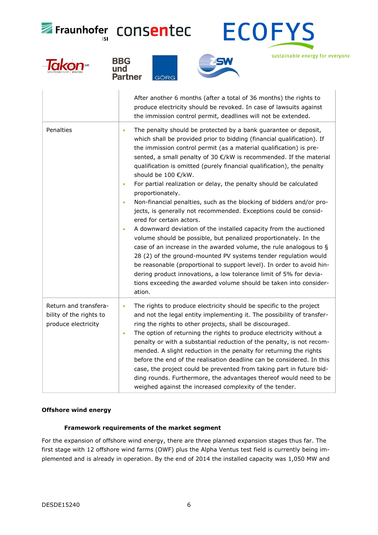

sustainable energy for everyone









# **Offshore wind energy**

# **Framework requirements of the market segment**

For the expansion of offshore wind energy, there are three planned expansion stages thus far. The first stage with 12 offshore wind farms (OWF) plus the Alpha Ventus test field is currently being implemented and is already in operation. By the end of 2014 the installed capacity was 1,050 MW and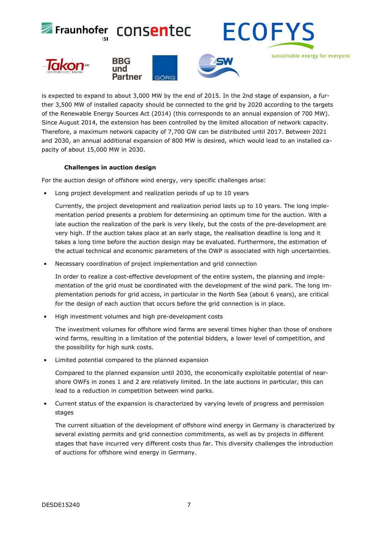

is expected to expand to about 3,000 MW by the end of 2015. In the 2nd stage of expansion, a further 3,500 MW of installed capacity should be connected to the grid by 2020 according to the targets of the Renewable Energy Sources Act (2014) (this corresponds to an annual expansion of 700 MW). Since August 2014, the extension has been controlled by the limited allocation of network capacity. Therefore, a maximum network capacity of 7,700 GW can be distributed until 2017. Between 2021 and 2030, an annual additional expansion of 800 MW is desired, which would lead to an installed capacity of about 15,000 MW in 2030.

# **Challenges in auction design**

For the auction design of offshore wind energy, very specific challenges arise:

• Long project development and realization periods of up to 10 years

Currently, the project development and realization period lasts up to 10 years. The long implementation period presents a problem for determining an optimum time for the auction. With a late auction the realization of the park is very likely, but the costs of the pre-development are very high. If the auction takes place at an early stage, the realisation deadline is long and it takes a long time before the auction design may be evaluated. Furthermore, the estimation of the actual technical and economic parameters of the OWP is associated with high uncertainties.

• Necessary coordination of project implementation and grid connection

In order to realize a cost-effective development of the entire system, the planning and implementation of the grid must be coordinated with the development of the wind park. The long implementation periods for grid access, in particular in the North Sea (about 6 years), are critical for the design of each auction that occurs before the grid connection is in place.

• High investment volumes and high pre-development costs

The investment volumes for offshore wind farms are several times higher than those of onshore wind farms, resulting in a limitation of the potential bidders, a lower level of competition, and the possibility for high sunk costs.

• Limited potential compared to the planned expansion

Compared to the planned expansion until 2030, the economically exploitable potential of nearshore OWFs in zones 1 and 2 are relatively limited. In the late auctions in particular, this can lead to a reduction in competition between wind parks.

• Current status of the expansion is characterized by varying levels of progress and permission stages

The current situation of the development of offshore wind energy in Germany is characterized by several existing permits and grid connection commitments, as well as by projects in different stages that have incurred very different costs thus far. This diversity challenges the introduction of auctions for offshore wind energy in Germany.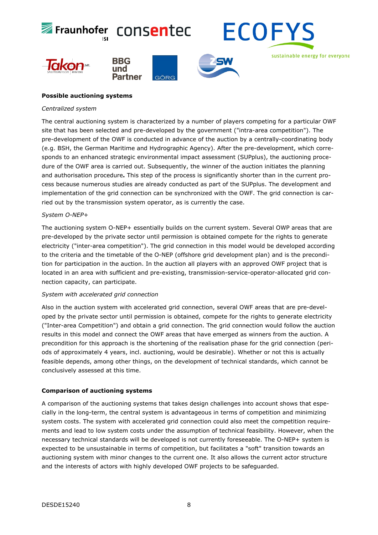

# **Possible auctioning systems**

#### *Centralized system*

The central auctioning system is characterized by a number of players competing for a particular OWF site that has been selected and pre-developed by the government ("intra-area competition"). The pre-development of the OWF is conducted in advance of the auction by a centrally-coordinating body (e.g. BSH, the German Maritime and Hydrographic Agency). After the pre-development, which corresponds to an enhanced strategic environmental impact assessment (SUPplus), the auctioning procedure of the OWF area is carried out. Subsequently, the winner of the auction initiates the planning and authorisation procedure**.** This step of the process is significantly shorter than in the current process because numerous studies are already conducted as part of the SUPplus. The development and implementation of the grid connection can be synchronized with the OWF. The grid connection is carried out by the transmission system operator, as is currently the case.

#### *System O-NEP+*

The auctioning system O-NEP+ essentially builds on the current system. Several OWP areas that are pre-developed by the private sector until permission is obtained compete for the rights to generate electricity ("inter-area competition"). The grid connection in this model would be developed according to the criteria and the timetable of the O-NEP (offshore grid development plan) and is the precondition for participation in the auction. In the auction all players with an approved OWF project that is located in an area with sufficient and pre-existing, transmission-service-operator-allocated grid connection capacity, can participate.

#### *System with accelerated grid connection*

Also in the auction system with accelerated grid connection, several OWF areas that are pre-developed by the private sector until permission is obtained, compete for the rights to generate electricity ("Inter-area Competition") and obtain a grid connection. The grid connection would follow the auction results in this model and connect the OWF areas that have emerged as winners from the auction. A precondition for this approach is the shortening of the realisation phase for the grid connection (periods of approximately 4 years, incl. auctioning, would be desirable). Whether or not this is actually feasible depends, among other things, on the development of technical standards, which cannot be conclusively assessed at this time.

# **Comparison of auctioning systems**

A comparison of the auctioning systems that takes design challenges into account shows that especially in the long-term, the central system is advantageous in terms of competition and minimizing system costs. The system with accelerated grid connection could also meet the competition requirements and lead to low system costs under the assumption of technical feasibility. However, when the necessary technical standards will be developed is not currently foreseeable. The O-NEP+ system is expected to be unsustainable in terms of competition, but facilitates a "soft" transition towards an auctioning system with minor changes to the current one. It also allows the current actor structure and the interests of actors with highly developed OWF projects to be safeguarded.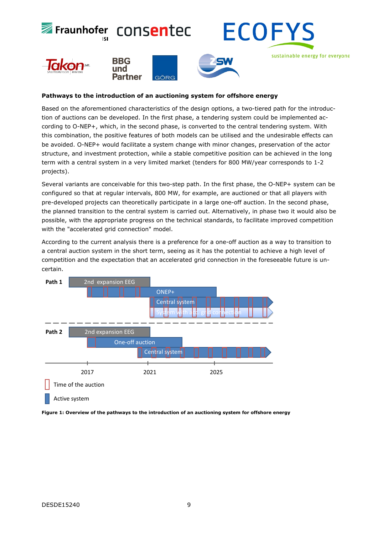

# **Pathways to the introduction of an auctioning system for offshore energy**

Based on the aforementioned characteristics of the design options, a two-tiered path for the introduction of auctions can be developed. In the first phase, a tendering system could be implemented according to O-NEP+, which, in the second phase, is converted to the central tendering system. With this combination, the positive features of both models can be utilised and the undesirable effects can be avoided. O-NEP+ would facilitate a system change with minor changes, preservation of the actor structure, and investment protection, while a stable competitive position can be achieved in the long term with a central system in a very limited market (tenders for 800 MW/year corresponds to 1-2 projects).

Several variants are conceivable for this two-step path. In the first phase, the O-NEP+ system can be configured so that at regular intervals, 800 MW, for example, are auctioned or that all players with pre-developed projects can theoretically participate in a large one-off auction. In the second phase, the planned transition to the central system is carried out. Alternatively, in phase two it would also be possible, with the appropriate progress on the technical standards, to facilitate improved competition with the "accelerated grid connection" model.

According to the current analysis there is a preference for a one-off auction as a way to transition to a central auction system in the short term, seeing as it has the potential to achieve a high level of competition and the expectation that an accelerated grid connection in the foreseeable future is uncertain.



**Figure 1: Overview of the pathways to the introduction of an auctioning system for offshore energy**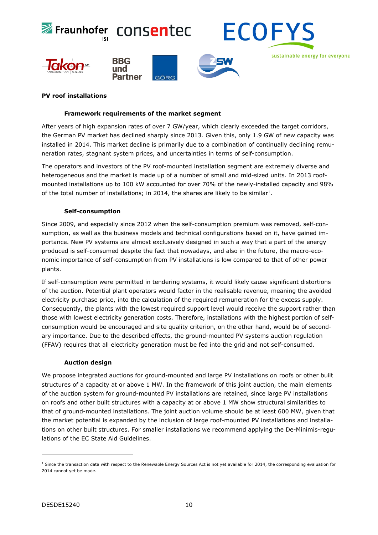

# **PV roof installations**

# **Framework requirements of the market segment**

After years of high expansion rates of over 7 GW/year, which clearly exceeded the target corridors, the German PV market has declined sharply since 2013. Given this, only 1.9 GW of new capacity was installed in 2014. This market decline is primarily due to a combination of continually declining remuneration rates, stagnant system prices, and uncertainties in terms of self-consumption.

The operators and investors of the PV roof-mounted installation segment are extremely diverse and heterogeneous and the market is made up of a number of small and mid-sized units. In 2013 roofmounted installations up to 100 kW accounted for over 70% of the newly-installed capacity and 98% of the total number of installations; in 20[1](#page-11-0)4, the shares are likely to be similar<sup>1</sup>.

# <span id="page-11-1"></span>**Self-consumption**

Since 2009, and especially since 2012 when the self-consumption premium was removed, self-consumption, as well as the business models and technical configurations based on it, have gained importance. New PV systems are almost exclusively designed in such a way that a part of the energy produced is self-consumed despite the fact that nowadays, and also in the future, the macro-economic importance of self-consumption from PV installations is low compared to that of other power plants.

If self-consumption were permitted in tendering systems, it would likely cause significant distortions of the auction. Potential plant operators would factor in the realisable revenue, meaning the avoided electricity purchase price, into the calculation of the required remuneration for the excess supply. Consequently, the plants with the lowest required support level would receive the support rather than those with lowest electricity generation costs. Therefore, installations with the highest portion of selfconsumption would be encouraged and site quality criterion, on the other hand, would be of secondary importance. Due to the described effects, the ground-mounted PV systems auction regulation (FFAV) requires that all electricity generation must be fed into the grid and not self-consumed.

#### **Auction design**

i<br>I

We propose integrated auctions for ground-mounted and large PV installations on roofs or other built structures of a capacity at or above 1 MW. In the framework of this joint auction, the main elements of the auction system for ground-mounted PV installations are retained, since large PV installations on roofs and other built structures with a capacity at or above 1 MW show structural similarities to that of ground-mounted installations. The joint auction volume should be at least 600 MW, given that the market potential is expanded by the inclusion of large roof-mounted PV installations and installations on other built structures. For smaller installations we recommend applying the De-Minimis-regulations of the EC State Aid Guidelines.

<span id="page-11-0"></span><sup>&</sup>lt;sup>[1](#page-11-1)</sup> Since the transaction data with respect to the Renewable Energy Sources Act is not yet available for 2014, the corresponding evaluation for 2014 cannot yet be made.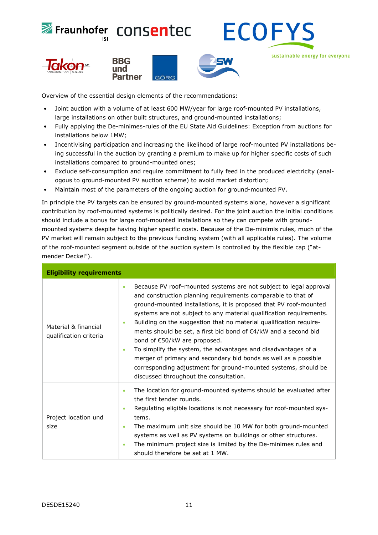



sustainable energy for everyone







Overview of the essential design elements of the recommendations:

- Joint auction with a volume of at least 600 MW/year for large roof-mounted PV installations, large installations on other built structures, and ground-mounted installations;
- Fully applying the De-minimes-rules of the EU State Aid Guidelines: Exception from auctions for installations below 1MW;
- Incentivising participation and increasing the likelihood of large roof-mounted PV installations being successful in the auction by granting a premium to make up for higher specific costs of such installations compared to ground-mounted ones;
- Exclude self-consumption and require commitment to fully feed in the produced electricity (analogous to ground-mounted PV auction scheme) to avoid market distortion;
- Maintain most of the parameters of the ongoing auction for ground-mounted PV.

In principle the PV targets can be ensured by ground-mounted systems alone, however a significant contribution by roof-mounted systems is politically desired. For the joint auction the initial conditions should include a bonus for large roof-mounted installations so they can compete with groundmounted systems despite having higher specific costs. Because of the De-minimis rules, much of the PV market will remain subject to the previous funding system (with all applicable rules). The volume of the roof-mounted segment outside of the auction system is controlled by the flexible cap ("atmender Deckel").

| <b>Eligibility requirements</b>                |                                                                                                                                                                                                                                                                                                                                                                                                                                                                                                                                                                                                                                                                                                                                               |  |  |
|------------------------------------------------|-----------------------------------------------------------------------------------------------------------------------------------------------------------------------------------------------------------------------------------------------------------------------------------------------------------------------------------------------------------------------------------------------------------------------------------------------------------------------------------------------------------------------------------------------------------------------------------------------------------------------------------------------------------------------------------------------------------------------------------------------|--|--|
| Material & financial<br>qualification criteria | Because PV roof-mounted systems are not subject to legal approval<br>$\bullet$<br>and construction planning requirements comparable to that of<br>ground-mounted installations, it is proposed that PV roof-mounted<br>systems are not subject to any material qualification requirements.<br>Building on the suggestion that no material qualification require-<br>$\bullet$<br>ments should be set, a first bid bond of €4/kW and a second bid<br>bond of €50/kW are proposed.<br>To simplify the system, the advantages and disadvantages of a<br>$\bullet$<br>merger of primary and secondary bid bonds as well as a possible<br>corresponding adjustment for ground-mounted systems, should be<br>discussed throughout the consultation. |  |  |
| Project location und<br>size                   | The location for ground-mounted systems should be evaluated after<br>$\bullet$<br>the first tender rounds.<br>Regulating eligible locations is not necessary for roof-mounted sys-<br>tems.<br>The maximum unit size should be 10 MW for both ground-mounted<br>$\bullet$<br>systems as well as PV systems on buildings or other structures.<br>The minimum project size is limited by the De-minimes rules and<br>٠<br>should therefore be set at 1 MW.                                                                                                                                                                                                                                                                                      |  |  |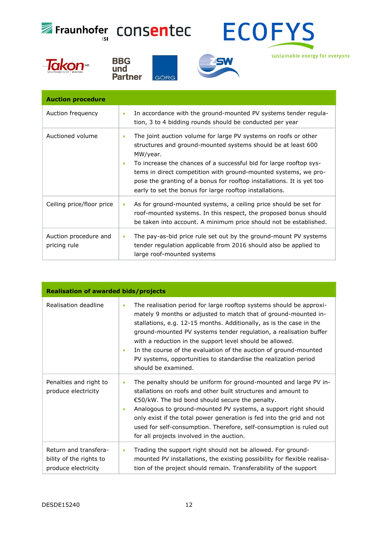

sustainable energy for everyone







GÖRG **Auction procedure**  Auction frequency  $\|\cdot\|$  In accordance with the ground-mounted PV systems tender regulation, 3 to 4 bidding rounds should be conducted per year Auctioned volume  $\|\cdot\|$  The joint auction volume for large PV systems on roofs or other structures and ground-mounted systems should be at least 600 MW/year. To increase the chances of a successful bid for large rooftop sys-

|                                       | $\bullet$ | To increase the chances of a successful bid for large rooftop sys-<br>tems in direct competition with ground-mounted systems, we pro-<br>pose the granting of a bonus for rooftop installations. It is yet too<br>early to set the bonus for large rooftop installations. |
|---------------------------------------|-----------|---------------------------------------------------------------------------------------------------------------------------------------------------------------------------------------------------------------------------------------------------------------------------|
| Ceiling price/floor price             | $\bullet$ | As for ground-mounted systems, a ceiling price should be set for<br>roof-mounted systems. In this respect, the proposed bonus should<br>be taken into account. A minimum price should not be established.                                                                 |
| Auction procedure and<br>pricing rule | ٠         | The pay-as-bid price rule set out by the ground-mount PV systems<br>tender regulation applicable from 2016 should also be applied to                                                                                                                                      |

large roof-mounted systems

| <b>Realisation of awarded bids/projects</b>                             |                                                                                                                                                                                                                                                                                                                                                                                                                                                                                                                                |  |
|-------------------------------------------------------------------------|--------------------------------------------------------------------------------------------------------------------------------------------------------------------------------------------------------------------------------------------------------------------------------------------------------------------------------------------------------------------------------------------------------------------------------------------------------------------------------------------------------------------------------|--|
| Realisation deadline                                                    | The realisation period for large rooftop systems should be approxi-<br>$\bullet$<br>mately 9 months or adjusted to match that of ground-mounted in-<br>stallations, e.g. 12-15 months. Additionally, as is the case in the<br>ground-mounted PV systems tender regulation, a realisation buffer<br>with a reduction in the support level should be allowed.<br>In the course of the evaluation of the auction of ground-mounted<br>٠<br>PV systems, opportunities to standardise the realization period<br>should be examined. |  |
| Penalties and right to<br>produce electricity                           | The penalty should be uniform for ground-mounted and large PV in-<br>$\bullet$<br>stallations on roofs and other built structures and amount to<br>€50/kW. The bid bond should secure the penalty.<br>Analogous to ground-mounted PV systems, a support right should<br>only exist if the total power generation is fed into the grid and not<br>used for self-consumption. Therefore, self-consumption is ruled out<br>for all projects involved in the auction.                                                              |  |
| Return and transfera-<br>bility of the rights to<br>produce electricity | Trading the support right should not be allowed. For ground-<br>$\bullet$<br>mounted PV installations, the existing possibility for flexible realisa-<br>tion of the project should remain. Transferability of the support                                                                                                                                                                                                                                                                                                     |  |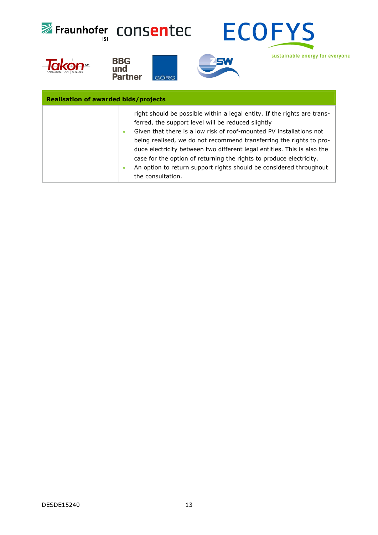| ISI                                         | Fraunhofer CONSentec<br><b>ECOFYS</b>                                                                                                                                                                                                                                                                                                                                                                                                                                                                                          |
|---------------------------------------------|--------------------------------------------------------------------------------------------------------------------------------------------------------------------------------------------------------------------------------------------------------------------------------------------------------------------------------------------------------------------------------------------------------------------------------------------------------------------------------------------------------------------------------|
|                                             | sustainable energy for everyone<br><b>BBG</b><br>und<br><b>Partner</b><br>GÖRG                                                                                                                                                                                                                                                                                                                                                                                                                                                 |
| <b>Realisation of awarded bids/projects</b> |                                                                                                                                                                                                                                                                                                                                                                                                                                                                                                                                |
|                                             | right should be possible within a legal entity. If the rights are trans-<br>ferred, the support level will be reduced slightly<br>Given that there is a low risk of roof-mounted PV installations not<br>being realised, we do not recommend transferring the rights to pro-<br>duce electricity between two different legal entities. This is also the<br>case for the option of returning the rights to produce electricity.<br>An option to return support rights should be considered throughout<br>۰<br>the consultation. |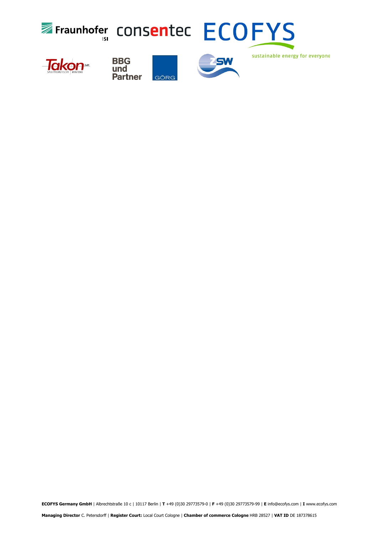